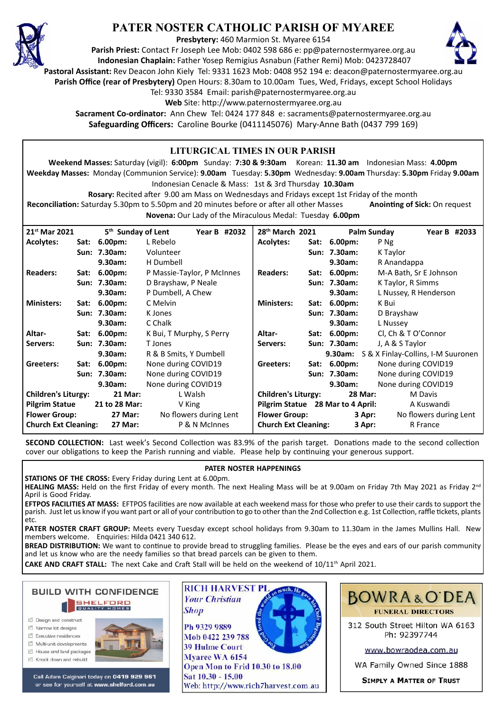

# **PATER NOSTER CATHOLIC PARISH OF MYAREE**

**Presbytery:** 460 Marmion St. Myaree 6154

**Parish Priest:** Contact Fr Joseph Lee Mob: 0402 598 686 e: pp@paternostermyaree.org.au **Indonesian Chaplain:** Father Yosep Remigius Asnabun (Father Remi) Mob: 0423728407



**Pastoral Assistant:** Rev Deacon John Kiely Tel: 9331 1623 Mob: 0408 952 194 e: deacon@paternostermyaree.org.au

**Parish Office (rear of Presbytery)** Open Hours: 8.30am to 10.00am Tues, Wed, Fridays, except School Holidays

Tel: 9330 3584 Email: parish@paternostermyaree.org.au

Web Site: http://www.paternostermyaree.org.au

**Sacrament Co-ordinator:** Ann Chew Tel: 0424 177 848 e: sacraments@paternostermyaree.org.au **Safeguarding Officers:** Caroline Bourke (0411145076) Mary-Anne Bath (0437 799 169)

#### **LITURGICAL TIMES IN OUR PARISH Weekend Masses:** Saturday (vigil): **6:00pm** Sunday: **7:30 & 9:30am** Korean: **11.30 am** Indonesian Mass: **4.00pm Weekday Masses:** Monday (Communion Service): **9.00am** Tuesday: **5.30pm** Wednesday: **9.00am** Thursday: **5.30pm** Friday **9.00am** Indonesian Cenacle & Mass: 1st & 3rd Thursday **10.30am Rosary:** Recited a�er 9.00 am Mass on Wednesdays and Fridays except 1st Friday of the month **Reconciliation:** Saturday 5.30pm to 5.50pm and 20 minutes before or after all other Masses **Anointing of Sick:** On request **Novena:** Our Lady of the Miraculous Medal: Tuesday **6.00pm 28th March 2021 Palm Sunday Year B #2033 Acolytes: Sat: 6.00pm:** P Ng **Sun: 7.30am:** K Taylor **9.30am:** R Anandappa **Readers: Sat: 6.00pm:** M-A Bath, Sr E Johnson **Sun: 7.30am:** K Taylor, R Simms **9.30am:** L Nussey, R Henderson **Ministers: Sat: 6.00pm:** K Bui **Sun: 7.30am:** D Brayshaw **9.30am:** L Nussey **Altar- Sat: 6.00pm:** Cl, Ch & T O'Connor **Servers: Sun: 7.30am:** J, A & S Taylor **9.30am:** S & X Finlay-Collins, I-M Suuronen Greeters: Sat: 6.00pm: None during COVID19<br>Sun: 7.30am: None during COVID19 **None during COVID19 9.30am:** None during COVID19 **Children's Liturgy: 28 Mar:** M Davis **Pilgrim Statue 28 Mar to 4 April:** A Kuswandi **Flower Group: 3 Apr:** No flowers during Lent **Church Ext Cleaning: 3 Apr:** R France **21st Mar 2021 5th Sunday of Lent Year B #2032 Acolytes: Sat: 6.00pm:** L Rebelo **Sun: 7.30am:** Volunteer **9.30am:** H Dumbell **Readers: Sat: 6.00pm:** P Massie-Taylor, P McInnes **Sun: 7.30am:** D Brayshaw, P Neale **9.30am:** P Dumbell, A Chew **Ministers: Sat: 6.00pm:** C Melvin **Sun: 7.30am:** K Jones **9.30am:** C Chalk **Altar- Sat: 6.00pm:** K Bui, T Murphy, S Perry **Servers: Sun: 7.30am:** T Jones **9.30am:** R & B Smits, Y Dumbell **Gree**t**ers: Sat: 6.00pm:** None during COVID19 **Sun: 7.30am:** None during COVID19 **9.30am:** None during COVID19 **Children's Liturgy: 21 Mar:** L Walsh **Pilgrim Statue 21 to 28 Mar:** V King Flower Group: 27 Mar: No flowers during Lent **Church Ext Cleaning: 27 Mar:** P & N McInnes

**SECOND COLLECTION:** Last week's Second Collection was 83.9% of the parish target. Donations made to the second collection cover our obligations to keep the Parish running and viable. Please help by continuing your generous support.

#### **PATER NOSTER HAPPENINGS**

**STATIONS OF THE CROSS:** Every Friday during Lent at 6.00pm.

**HEALING MASS:** Held on the first Friday of every month. The next Healing Mass will be at 9.00am on Friday 7th May 2021 as Friday 2nd April is Good Friday.

**EFTPOS FACILITIES AT MASS:** EFTPOS facili�es are now available at each weekend mass for those who prefer to use their cards to support the parish. Just let us know if you want part or all of your contribution to go to other than the 2nd Collection e.g. 1st Collection, raffle tickets, plants etc.

**PATER NOSTER CRAFT GROUP:** Meets every Tuesday except school holidays from 9.30am to 11.30am in the James Mullins Hall. New members welcome. Enquiries: Hilda 0421 340 612.

**BREAD DISTRIBUTION:** We want to continue to provide bread to struggling families. Please be the eyes and ears of our parish community and let us know who are the needy families so that bread parcels can be given to them.

**CAKE AND CRAFT STALL:** The next Cake and Craft Stall will be held on the weekend of 10/11<sup>th</sup> April 2021.

**Shop** 

**BUILD WITH CONFIDENCE SHELFORD** 

- □ Design and construct
- $\triangledown$  Narrow lot designe
- $\triangledown$  Executive residences
- $\overrightarrow{2}$  Multi-unit developments
- M House and land packages



Call Adam Calginari today on 0419 929 961 or see for yourself at www.shelford.com.au



Mob 0422 239 788 **39 Hulme Court** Mvaree WA 6154 Open Mon to Frid 10.30 to 18.00 Sat 10.30 - 15.00 Web: http://www.rich7harvest.com.au



312 South Street Hilton WA 6163 Ph: 92397744

www.bowraodea.com.au

WA Family Owned Since 1888

**SIMPLY A MATTER OF TRUST**